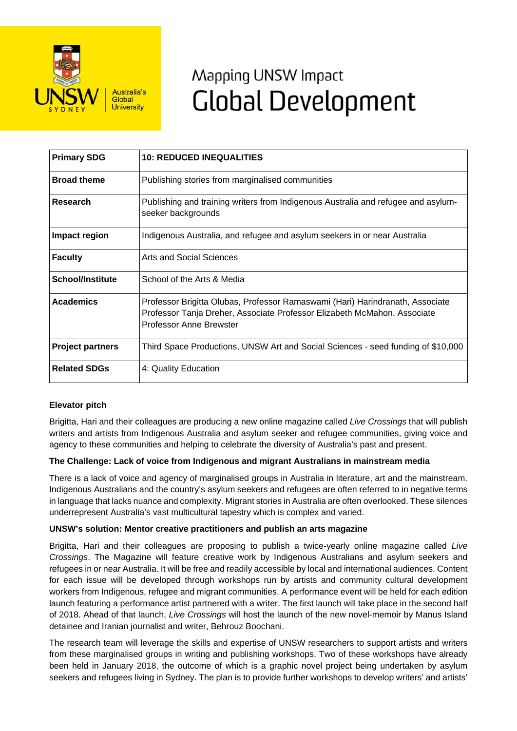

# Mapping UNSW Impact **Global Development**

| <b>Primary SDG</b>      | <b>10: REDUCED INEQUALITIES</b>                                                                                                                                                      |
|-------------------------|--------------------------------------------------------------------------------------------------------------------------------------------------------------------------------------|
| <b>Broad theme</b>      | Publishing stories from marginalised communities                                                                                                                                     |
| Research                | Publishing and training writers from Indigenous Australia and refugee and asylum-<br>seeker backgrounds                                                                              |
| Impact region           | Indigenous Australia, and refugee and asylum seekers in or near Australia                                                                                                            |
| <b>Faculty</b>          | Arts and Social Sciences                                                                                                                                                             |
| <b>School/Institute</b> | School of the Arts & Media                                                                                                                                                           |
| <b>Academics</b>        | Professor Brigitta Olubas, Professor Ramaswami (Hari) Harindranath, Associate<br>Professor Tanja Dreher, Associate Professor Elizabeth McMahon, Associate<br>Professor Anne Brewster |
| <b>Project partners</b> | Third Space Productions, UNSW Art and Social Sciences - seed funding of \$10,000                                                                                                     |
| <b>Related SDGs</b>     | 4: Quality Education                                                                                                                                                                 |

## **Elevator pitch**

Brigitta, Hari and their colleagues are producing a new online magazine called *Live Crossings* that will publish writers and artists from Indigenous Australia and asylum seeker and refugee communities, giving voice and agency to these communities and helping to celebrate the diversity of Australia's past and present.

#### **The Challenge: Lack of voice from Indigenous and migrant Australians in mainstream media**

There is a lack of voice and agency of marginalised groups in Australia in literature, art and the mainstream. Indigenous Australians and the country's asylum seekers and refugees are often referred to in negative terms in language that lacks nuance and complexity. Migrant stories in Australia are often overlooked. These silences underrepresent Australia's vast multicultural tapestry which is complex and varied.

#### **UNSW's solution: Mentor creative practitioners and publish an arts magazine**

Brigitta, Hari and their colleagues are proposing to publish a twice-yearly online magazine called *Live Crossings*. The Magazine will feature creative work by Indigenous Australians and asylum seekers and refugees in or near Australia. It will be free and readily accessible by local and international audiences. Content for each issue will be developed through workshops run by artists and community cultural development workers from Indigenous, refugee and migrant communities. A performance event will be held for each edition launch featuring a performance artist partnered with a writer. The first launch will take place in the second half of 2018. Ahead of that launch, *Live Crossings* will host the launch of the new novel-memoir by Manus Island detainee and Iranian journalist and writer, Behrouz Boochani.

The research team will leverage the skills and expertise of UNSW researchers to support artists and writers from these marginalised groups in writing and publishing workshops. Two of these workshops have already been held in January 2018, the outcome of which is a graphic novel project being undertaken by asylum seekers and refugees living in Sydney. The plan is to provide further workshops to develop writers' and artists'